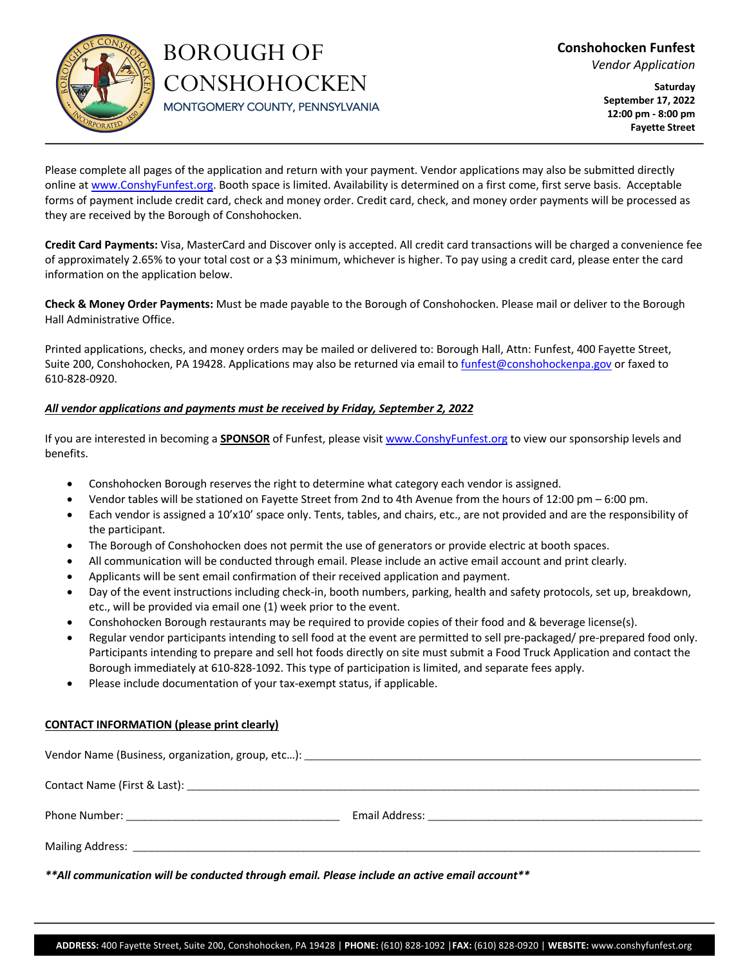

# BOROUGH OF **CONSHOHOCKEN** MONTGOMERY COUNTY, PENNSYLVANIA

**Saturday September 17, 2022 12:00 pm - 8:00 pm Fayette Street**

Please complete all pages of the application and return with your payment. Vendor applications may also be submitted directly online at www.ConshyFunfest.org. Booth space is limited. Availability is determined on a first come, first serve basis. Acceptable forms of payment include credit card, check and money order. Credit card, check, and money order payments will be processed as they are received by the Borough of Conshohocken.

**Credit Card Payments:** Visa, MasterCard and Discover only is accepted. All credit card transactions will be charged a convenience fee of approximately 2.65% to your total cost or a \$3 minimum, whichever is higher. To pay using a credit card, please enter the card information on the application below.

**Check & Money Order Payments:** Must be made payable to the Borough of Conshohocken. Please mail or deliver to the Borough Hall Administrative Office.

Printed applications, checks, and money orders may be mailed or delivered to: Borough Hall, Attn: Funfest, 400 Fayette Street, Suite 200, Conshohocken, PA 19428. Applications may also be returned via email to funfest@conshohockenpa.gov or faxed to 610-828-0920.

# *All vendor applications and payments must be received by Friday, September 2, 2022*

If you are interested in becoming a **SPONSOR** of Funfest, please visit www.ConshyFunfest.org to view our sponsorship levels and benefits.

- Conshohocken Borough reserves the right to determine what category each vendor is assigned.
- Vendor tables will be stationed on Fayette Street from 2nd to 4th Avenue from the hours of 12:00 pm 6:00 pm.
- Each vendor is assigned a 10'x10' space only. Tents, tables, and chairs, etc., are not provided and are the responsibility of the participant.
- The Borough of Conshohocken does not permit the use of generators or provide electric at booth spaces.
- All communication will be conducted through email. Please include an active email account and print clearly.
- Applicants will be sent email confirmation of their received application and payment.
- Day of the event instructions including check-in, booth numbers, parking, health and safety protocols, set up, breakdown, etc., will be provided via email one (1) week prior to the event.
- Conshohocken Borough restaurants may be required to provide copies of their food and & beverage license(s).
- Regular vendor participants intending to sell food at the event are permitted to sell pre-packaged/ pre-prepared food only. Participants intending to prepare and sell hot foods directly on site must submit a Food Truck Application and contact the Borough immediately at 610-828-1092. This type of participation is limited, and separate fees apply.
- Please include documentation of your tax-exempt status, if applicable.

# **CONTACT INFORMATION (please print clearly)**

*\*\*All communication will be conducted through email. Please include an active email account\*\**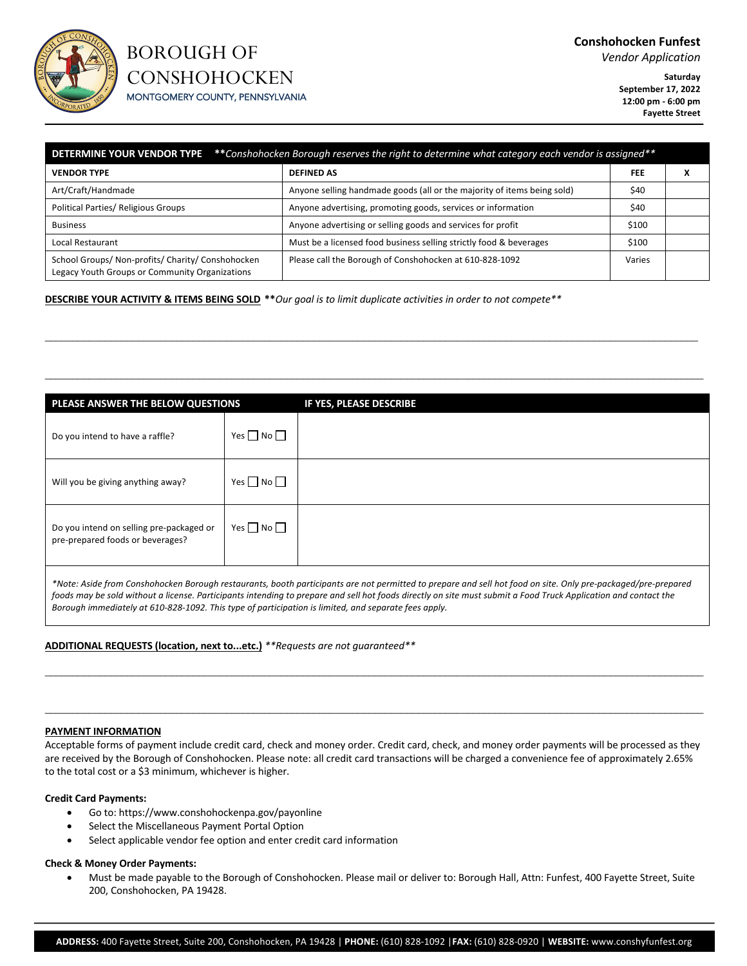

# BOROUGH OF **CONSHOHOCKEN**

**Saturday**

MONTGOMERY COUNTY, PENNSYLVANIA

**September 17, 2022 12:00 pm - 6:00 pm Fayette Street**

| <b>DETERMINE YOUR VENDOR TYPE</b> **Conshohocken Borough reserves the right to determine what category each vendor is assigned** |                                                                         |            |  |  |
|----------------------------------------------------------------------------------------------------------------------------------|-------------------------------------------------------------------------|------------|--|--|
| <b>VENDOR TYPE</b>                                                                                                               | <b>DEFINED AS</b>                                                       | <b>FEE</b> |  |  |
| Art/Craft/Handmade                                                                                                               | Anyone selling handmade goods (all or the majority of items being sold) | \$40       |  |  |
| <b>Political Parties/ Religious Groups</b>                                                                                       | Anyone advertising, promoting goods, services or information            | \$40       |  |  |
| <b>Business</b>                                                                                                                  | Anyone advertising or selling goods and services for profit             | \$100      |  |  |
| Local Restaurant                                                                                                                 | Must be a licensed food business selling strictly food & beverages      | \$100      |  |  |
| School Groups/ Non-profits/ Charity/ Conshohocken<br>Legacy Youth Groups or Community Organizations                              | Please call the Borough of Conshohocken at 610-828-1092                 | Varies     |  |  |

 $\_$  , and the set of the set of the set of the set of the set of the set of the set of the set of the set of the set of the set of the set of the set of the set of the set of the set of the set of the set of the set of th

 $\Box$ 

**DESCRIBE YOUR ACTIVITY & ITEMS BEING SOLD \*\****Our goal is to limit duplicate activities in order to not compete\*\**

| PLEASE ANSWER THE BELOW QUESTIONS                                                                                                                               |                      | IF YES, PLEASE DESCRIBE |  |
|-----------------------------------------------------------------------------------------------------------------------------------------------------------------|----------------------|-------------------------|--|
| Do you intend to have a raffle?                                                                                                                                 | Yes $\Box$ No $\Box$ |                         |  |
| Will you be giving anything away?                                                                                                                               | Yes $\Box$ No $\Box$ |                         |  |
| Do you intend on selling pre-packaged or<br>pre-prepared foods or beverages?                                                                                    | Yes $\Box$ No $\Box$ |                         |  |
| *Nato: Acido from Conchophocken Berough restaurants, booth participants are not permitted to prepare and sell bet food on site. Only are packaged (are prepared |                      |                         |  |

*\*Note: Aside from Conshohocken Borough restaurants, booth participants are not permitted to prepare and sell hot food on site. Only pre-packaged/pre-prepared foods may be sold without a license. Participants intending to prepare and sell hot foods directly on site must submit a Food Truck Application and contact the Borough immediately at 610-828-1092. This type of participation is limited, and separate fees apply.* 

 $\Box$ 

 $\Box$  . The contribution of the contribution of the contribution of the contribution of the contribution of the contribution of the contribution of the contribution of the contribution of the contribution of the contributi

**ADDITIONAL REQUESTS (location, next to...etc.)** *\*\*Requests are not guaranteed\*\**

# **PAYMENT INFORMATION**

Acceptable forms of payment include credit card, check and money order. Credit card, check, and money order payments will be processed as they are received by the Borough of Conshohocken. Please note: all credit card transactions will be charged a convenience fee of approximately 2.65% to the total cost or a \$3 minimum, whichever is higher.

#### **Credit Card Payments:**

- Go to: https://www.conshohockenpa.gov/payonline
- Select the Miscellaneous Payment Portal Option
- Select applicable vendor fee option and enter credit card information

#### **Check & Money Order Payments:**

• Must be made payable to the Borough of Conshohocken. Please mail or deliver to: Borough Hall, Attn: Funfest, 400 Fayette Street, Suite 200, Conshohocken, PA 19428.